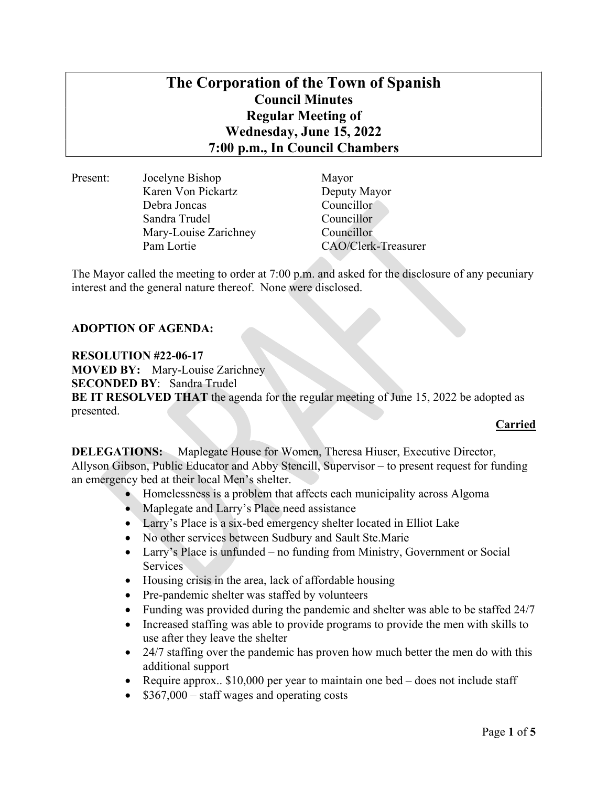# The Corporation of the Town of Spanish Council Minutes Regular Meeting of Wednesday, June 15, 2022 7:00 p.m., In Council Chambers

| Present: | Jocelyne Bishop       | Mayor  |
|----------|-----------------------|--------|
|          | Karen Von Pickartz    | Deputy |
|          | Debra Joncas          | Counci |
|          | Sandra Trudel         | Counci |
|          | Mary-Louise Zarichney | Counci |
|          | Pam Lortie            | CAO/C  |
|          |                       |        |

Deputy Mayor Councillor<sup>®</sup> Councillor Councillor CAO/Clerk-Treasurer

The Mayor called the meeting to order at 7:00 p.m. and asked for the disclosure of any pecuniary interest and the general nature thereof. None were disclosed.

## ADOPTION OF AGENDA:

#### RESOLUTION #22-06-17

MOVED BY: Mary-Louise Zarichney SECONDED BY: Sandra Trudel BE IT RESOLVED THAT the agenda for the regular meeting of June 15, 2022 be adopted as presented.

## Carried

DELEGATIONS: Maplegate House for Women, Theresa Hiuser, Executive Director, Allyson Gibson, Public Educator and Abby Stencill, Supervisor – to present request for funding an emergency bed at their local Men's shelter.

- Homelessness is a problem that affects each municipality across Algoma
- Maplegate and Larry's Place need assistance
- Larry's Place is a six-bed emergency shelter located in Elliot Lake
- No other services between Sudbury and Sault Ste.Marie
- Larry's Place is unfunded no funding from Ministry, Government or Social Services
- Housing crisis in the area, lack of affordable housing
- Pre-pandemic shelter was staffed by volunteers
- Funding was provided during the pandemic and shelter was able to be staffed 24/7
- Increased staffing was able to provide programs to provide the men with skills to use after they leave the shelter
- 24/7 staffing over the pandemic has proven how much better the men do with this additional support
- Require approx.. \$10,000 per year to maintain one bed does not include staff
- \$367,000 staff wages and operating costs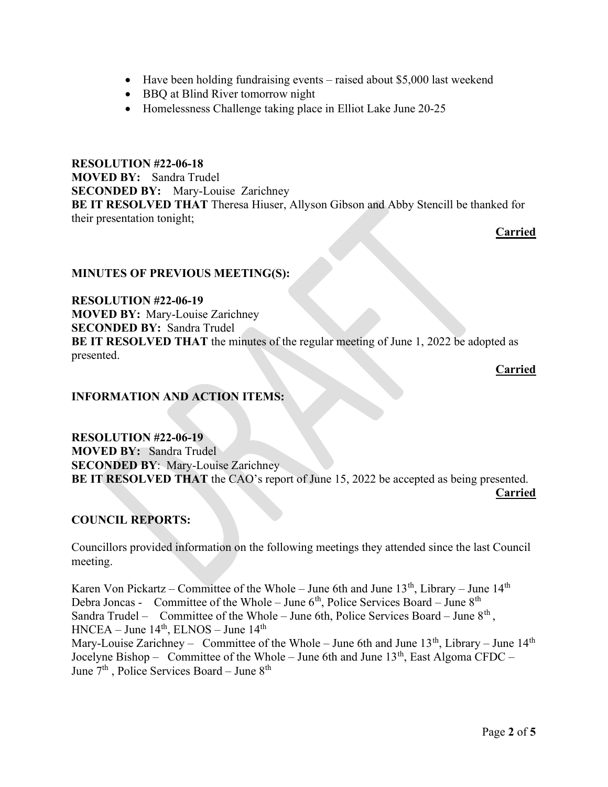- Have been holding fundraising events raised about \$5,000 last weekend
- BBQ at Blind River tomorrow night
- Homelessness Challenge taking place in Elliot Lake June 20-25

RESOLUTION #22-06-18 MOVED BY: Sandra Trudel SECONDED BY: Mary-Louise Zarichney BE IT RESOLVED THAT Theresa Hiuser, Allyson Gibson and Abby Stencill be thanked for their presentation tonight;

Carried

## MINUTES OF PREVIOUS MEETING(S):

RESOLUTION #22-06-19 MOVED BY: Mary-Louise Zarichney SECONDED BY: Sandra Trudel BE IT RESOLVED THAT the minutes of the regular meeting of June 1, 2022 be adopted as presented.

Carried

## INFORMATION AND ACTION ITEMS:

RESOLUTION #22-06-19 MOVED BY: Sandra Trudel SECONDED BY: Mary-Louise Zarichney BE IT RESOLVED THAT the CAO's report of June 15, 2022 be accepted as being presented. Carried

## COUNCIL REPORTS:

Councillors provided information on the following meetings they attended since the last Council meeting.

Karen Von Pickartz – Committee of the Whole – June 6th and June  $13<sup>th</sup>$ , Library – June  $14<sup>th</sup>$ Debra Joncas - Committee of the Whole – June  $6<sup>th</sup>$ , Police Services Board – June  $8<sup>th</sup>$ Sandra Trudel – Committee of the Whole – June 6th, Police Services Board – June  $8<sup>th</sup>$ ,  $HNCEA - June 14<sup>th</sup>, ELNOS - June 14<sup>th</sup>$ Mary-Louise Zarichney – Committee of the Whole – June 6th and June  $13<sup>th</sup>$ , Library – June  $14<sup>th</sup>$ Jocelyne Bishop – Committee of the Whole – June 6th and June  $13<sup>th</sup>$ , East Algoma CFDC – June  $7<sup>th</sup>$ , Police Services Board – June  $8<sup>th</sup>$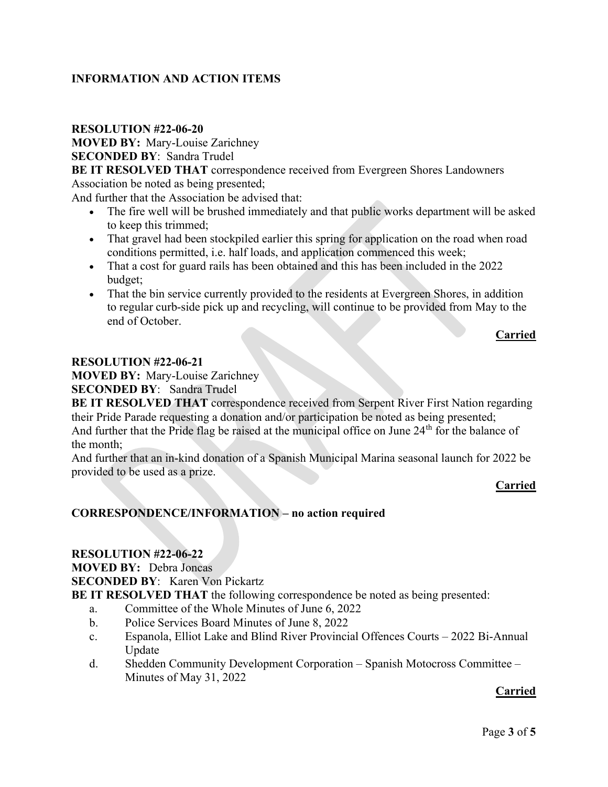## INFORMATION AND ACTION ITEMS

## RESOLUTION #22-06-20

MOVED BY: Mary-Louise Zarichney SECONDED BY: Sandra Trudel

BE IT RESOLVED THAT correspondence received from Evergreen Shores Landowners Association be noted as being presented;

And further that the Association be advised that:

- The fire well will be brushed immediately and that public works department will be asked to keep this trimmed;
- That gravel had been stockpiled earlier this spring for application on the road when road conditions permitted, i.e. half loads, and application commenced this week;
- That a cost for guard rails has been obtained and this has been included in the 2022 budget;
- That the bin service currently provided to the residents at Evergreen Shores, in addition to regular curb-side pick up and recycling, will continue to be provided from May to the end of October.

**Carried** Carried Carried Carried Carried Carried Carried Carried Carried Carried Carried Carried Carried Carried Carried Carried Carried Carried Carried Carried Carried Carried Carried Carried Carried Carried Carried Carr

#### RESOLUTION #22-06-21

MOVED BY: Mary-Louise Zarichney

SECONDED BY: Sandra Trudel

BE IT RESOLVED THAT correspondence received from Serpent River First Nation regarding their Pride Parade requesting a donation and/or participation be noted as being presented; And further that the Pride flag be raised at the municipal office on June 24<sup>th</sup> for the balance of the month;

And further that an in-kind donation of a Spanish Municipal Marina seasonal launch for 2022 be provided to be used as a prize.

## **Carried**

## CORRESPONDENCE/INFORMATION – no action required

#### RESOLUTION #22-06-22

MOVED BY: Debra Joncas

SECONDED BY: Karen Von Pickartz

BE IT RESOLVED THAT the following correspondence be noted as being presented:

- a. Committee of the Whole Minutes of June 6, 2022
- b. Police Services Board Minutes of June 8, 2022
- c. Espanola, Elliot Lake and Blind River Provincial Offences Courts 2022 Bi-Annual Update
- d. Shedden Community Development Corporation Spanish Motocross Committee Minutes of May 31, 2022

## Carried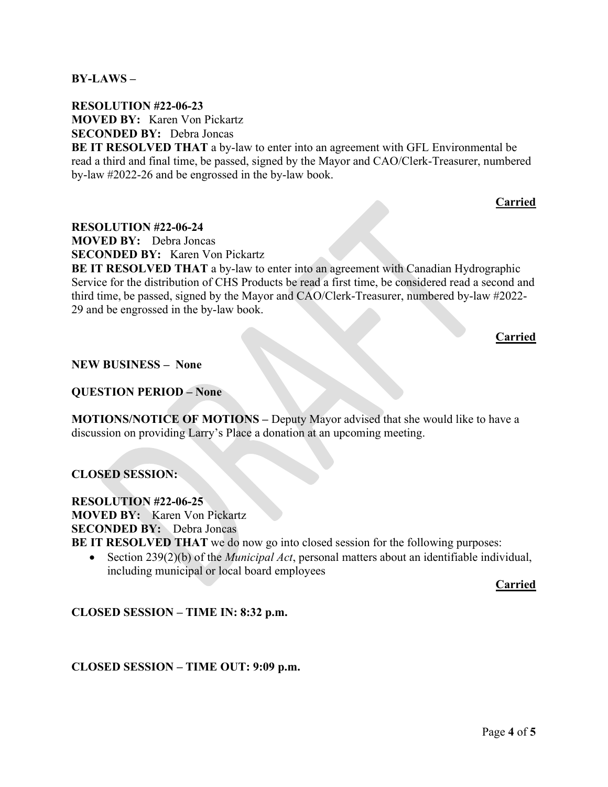$BY-LAWS -$ 

RESOLUTION #22-06-23 MOVED BY: Karen Von Pickartz SECONDED BY: Debra Joncas

BE IT RESOLVED THAT a by-law to enter into an agreement with GFL Environmental be read a third and final time, be passed, signed by the Mayor and CAO/Clerk-Treasurer, numbered by-law #2022-26 and be engrossed in the by-law book.

Carried

RESOLUTION #22-06-24

MOVED BY: Debra Joncas

SECONDED BY: Karen Von Pickartz

BE IT RESOLVED THAT a by-law to enter into an agreement with Canadian Hydrographic Service for the distribution of CHS Products be read a first time, be considered read a second and third time, be passed, signed by the Mayor and CAO/Clerk-Treasurer, numbered by-law #2022- 29 and be engrossed in the by-law book.

Carried

#### NEW BUSINESS – None

#### QUESTION PERIOD – None

MOTIONS/NOTICE OF MOTIONS – Deputy Mayor advised that she would like to have a discussion on providing Larry's Place a donation at an upcoming meeting.

## CLOSED SESSION:

RESOLUTION #22-06-25 MOVED BY: Karen Von Pickartz SECONDED BY: Debra Joncas BE IT RESOLVED THAT we do now go into closed session for the following purposes:

Section  $239(2)(b)$  of the *Municipal Act*, personal matters about an identifiable individual, including municipal or local board employees

Carried

CLOSED SESSION – TIME IN: 8:32 p.m.

## CLOSED SESSION – TIME OUT: 9:09 p.m.